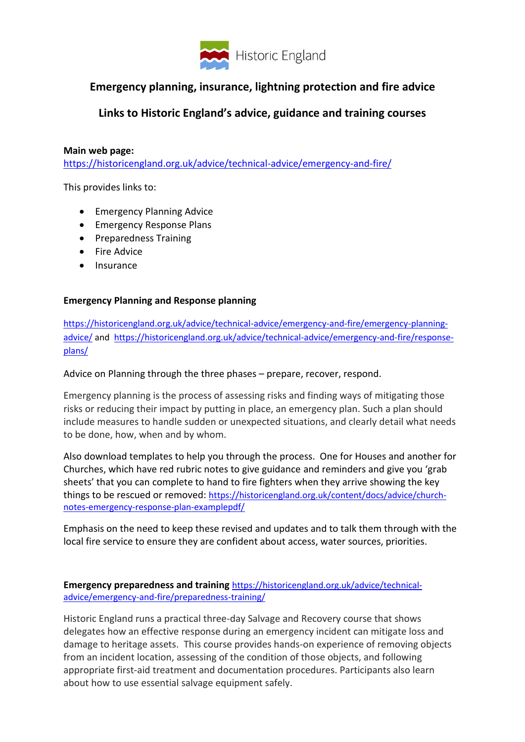

# **Emergency planning, insurance, lightning protection and fire advice**

## **Links to Historic England's advice, guidance and training courses**

### **Main web page:**

<https://historicengland.org.uk/advice/technical-advice/emergency-and-fire/>

This provides links to:

- Emergency Planning Advice
- Emergency Response Plans
- Preparedness Training
- Fire Advice
- Insurance

## **Emergency Planning and Response planning**

[https://historicengland.org.uk/advice/technical-advice/emergency-and-fire/emergency-planning](https://historicengland.org.uk/advice/technical-advice/emergency-and-fire/emergency-planning-advice/)[advice/](https://historicengland.org.uk/advice/technical-advice/emergency-and-fire/emergency-planning-advice/) and [https://historicengland.org.uk/advice/technical-advice/emergency-and-fire/response](https://historicengland.org.uk/advice/technical-advice/emergency-and-fire/response-plans/)[plans/](https://historicengland.org.uk/advice/technical-advice/emergency-and-fire/response-plans/)

Advice on Planning through the three phases – prepare, recover, respond.

Emergency planning is the process of assessing risks and finding ways of mitigating those risks or reducing their impact by putting in place, an emergency plan. Such a plan should include measures to handle sudden or unexpected situations, and clearly detail what needs to be done, how, when and by whom.

Also download templates to help you through the process. One for Houses and another for Churches, which have red rubric notes to give guidance and reminders and give you 'grab sheets' that you can complete to hand to fire fighters when they arrive showing the key things to be rescued or removed: [https://historicengland.org.uk/content/docs/advice/church](https://historicengland.org.uk/content/docs/advice/church-notes-emergency-response-plan-examplepdf/)[notes-emergency-response-plan-examplepdf/](https://historicengland.org.uk/content/docs/advice/church-notes-emergency-response-plan-examplepdf/)

Emphasis on the need to keep these revised and updates and to talk them through with the local fire service to ensure they are confident about access, water sources, priorities.

**Emergency preparedness and training** [https://historicengland.org.uk/advice/technical](https://historicengland.org.uk/advice/technical-advice/emergency-and-fire/preparedness-training/)[advice/emergency-and-fire/preparedness-training/](https://historicengland.org.uk/advice/technical-advice/emergency-and-fire/preparedness-training/)

Historic England runs a practical three-day Salvage and Recovery course that shows delegates how an effective response during an emergency incident can mitigate loss and damage to heritage assets. This course provides hands-on experience of removing objects from an incident location, assessing of the condition of those objects, and following appropriate first-aid treatment and documentation procedures. Participants also learn about how to use essential salvage equipment safely.